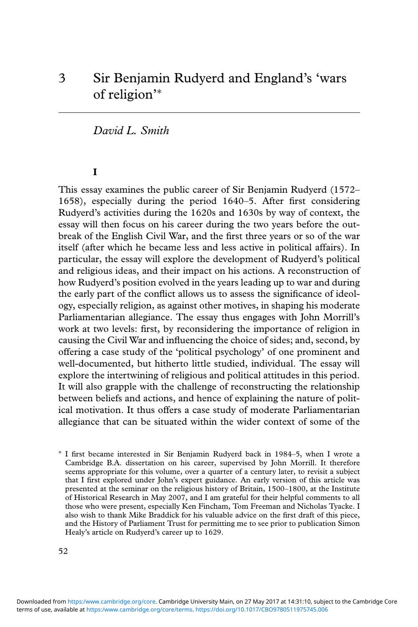# 3 Sir Benjamin Rudyerd and England's 'wars of religion'∗

# *David L. Smith*

### **I**

This essay examines the public career of Sir Benjamin Rudyerd (1572– 1658), especially during the period 1640–5. After first considering Rudyerd's activities during the 1620s and 1630s by way of context, the essay will then focus on his career during the two years before the outbreak of the English Civil War, and the first three years or so of the war itself (after which he became less and less active in political affairs). In particular, the essay will explore the development of Rudyerd's political and religious ideas, and their impact on his actions. A reconstruction of how Rudyerd's position evolved in the years leading up to war and during the early part of the conflict allows us to assess the significance of ideology, especially religion, as against other motives, in shaping his moderate Parliamentarian allegiance. The essay thus engages with John Morrill's work at two levels: first, by reconsidering the importance of religion in causing the Civil War and influencing the choice of sides; and, second, by offering a case study of the 'political psychology' of one prominent and well-documented, but hitherto little studied, individual. The essay will explore the intertwining of religious and political attitudes in this period. It will also grapple with the challenge of reconstructing the relationship between beliefs and actions, and hence of explaining the nature of political motivation. It thus offers a case study of moderate Parliamentarian allegiance that can be situated within the wider context of some of the

<sup>∗</sup> I first became interested in Sir Benjamin Rudyerd back in 1984–5, when I wrote a Cambridge B.A. dissertation on his career, supervised by John Morrill. It therefore seems appropriate for this volume, over a quarter of a century later, to revisit a subject that I first explored under John's expert guidance. An early version of this article was presented at the seminar on the religious history of Britain, 1500–1800, at the Institute of Historical Research in May 2007, and I am grateful for their helpful comments to all those who were present, especially Ken Fincham, Tom Freeman and Nicholas Tyacke. I also wish to thank Mike Braddick for his valuable advice on the first draft of this piece, and the History of Parliament Trust for permitting me to see prior to publication Simon Healy's article on Rudyerd's career up to 1629.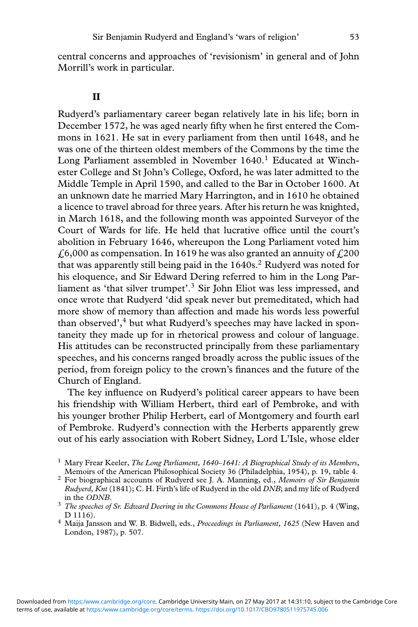central concerns and approaches of 'revisionism' in general and of John Morrill's work in particular.

#### **II**

Rudyerd's parliamentary career began relatively late in his life; born in December 1572, he was aged nearly fifty when he first entered the Commons in 1621. He sat in every parliament from then until 1648, and he was one of the thirteen oldest members of the Commons by the time the Long Parliament assembled in November 1640.<sup>1</sup> Educated at Winchester College and St John's College, Oxford, he was later admitted to the Middle Temple in April 1590, and called to the Bar in October 1600. At an unknown date he married Mary Harrington, and in 1610 he obtained a licence to travel abroad for three years. After his return he was knighted, in March 1618, and the following month was appointed Surveyor of the Court of Wards for life. He held that lucrative office until the court's abolition in February 1646, whereupon the Long Parliament voted him  $\text{\emph{£}}6,000$  as compensation. In 1619 he was also granted an annuity of  $\text{\emph{£}}200$ that was apparently still being paid in the 1640s.<sup>2</sup> Rudyerd was noted for his eloquence, and Sir Edward Dering referred to him in the Long Parliament as 'that silver trumpet'.<sup>3</sup> Sir John Eliot was less impressed, and once wrote that Rudyerd 'did speak never but premeditated, which had more show of memory than affection and made his words less powerful than observed', $4$  but what Rudyerd's speeches may have lacked in spontaneity they made up for in rhetorical prowess and colour of language. His attitudes can be reconstructed principally from these parliamentary speeches, and his concerns ranged broadly across the public issues of the period, from foreign policy to the crown's finances and the future of the Church of England.

The key influence on Rudyerd's political career appears to have been his friendship with William Herbert, third earl of Pembroke, and with his younger brother Philip Herbert, earl of Montgomery and fourth earl of Pembroke. Rudyerd's connection with the Herberts apparently grew out of his early association with Robert Sidney, Lord L'Isle, whose elder

<sup>1</sup> Mary Frear Keeler, *The Long Parliament, 1640–1641: A Biographical Study of its Members*,

<sup>&</sup>lt;sup>2</sup> For biographical accounts of Rudyerd see J. A. Manning, ed., *Memoirs of Sir Benjamin Rudyerd, Knt* (1841); C. H. Firth's life of Rudyerd in the old *DNB*; and my life of Rudyerd in the *ODNB*. <sup>3</sup> *The speeches of Sr. Edward Deering in the Commons House of Parliament* (1641), p. 4 (Wing,

D 1116). <sup>4</sup> Maija Jansson and W. B. Bidwell, eds., *Proceedings in Parliament, 1625* (New Haven and

London, 1987), p. 507.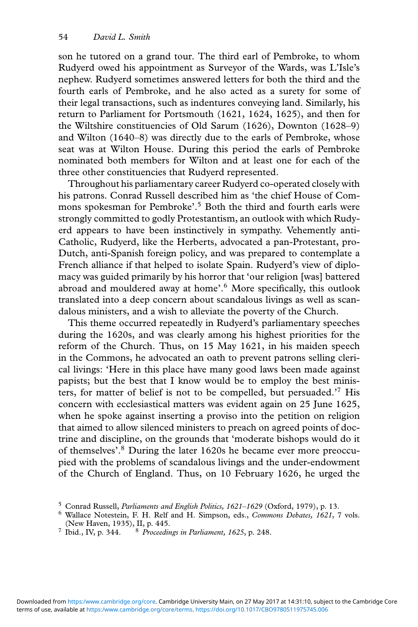son he tutored on a grand tour. The third earl of Pembroke, to whom Rudyerd owed his appointment as Surveyor of the Wards, was L'Isle's nephew. Rudyerd sometimes answered letters for both the third and the fourth earls of Pembroke, and he also acted as a surety for some of their legal transactions, such as indentures conveying land. Similarly, his return to Parliament for Portsmouth (1621, 1624, 1625), and then for the Wiltshire constituencies of Old Sarum (1626), Downton (1628–9) and Wilton (1640–8) was directly due to the earls of Pembroke, whose seat was at Wilton House. During this period the earls of Pembroke nominated both members for Wilton and at least one for each of the three other constituencies that Rudyerd represented.

Throughout his parliamentary career Rudyerd co-operated closely with his patrons. Conrad Russell described him as 'the chief House of Commons spokesman for Pembroke'.<sup>5</sup> Both the third and fourth earls were strongly committed to godly Protestantism, an outlook with which Rudyerd appears to have been instinctively in sympathy. Vehemently anti-Catholic, Rudyerd, like the Herberts, advocated a pan-Protestant, pro-Dutch, anti-Spanish foreign policy, and was prepared to contemplate a French alliance if that helped to isolate Spain. Rudyerd's view of diplomacy was guided primarily by his horror that 'our religion [was] battered abroad and mouldered away at home'.<sup>6</sup> More specifically, this outlook translated into a deep concern about scandalous livings as well as scandalous ministers, and a wish to alleviate the poverty of the Church.

This theme occurred repeatedly in Rudyerd's parliamentary speeches during the 1620s, and was clearly among his highest priorities for the reform of the Church. Thus, on 15 May 1621, in his maiden speech in the Commons, he advocated an oath to prevent patrons selling clerical livings: 'Here in this place have many good laws been made against papists; but the best that I know would be to employ the best ministers, for matter of belief is not to be compelled, but persuaded.'7 His concern with ecclesiastical matters was evident again on 25 June 1625, when he spoke against inserting a proviso into the petition on religion that aimed to allow silenced ministers to preach on agreed points of doctrine and discipline, on the grounds that 'moderate bishops would do it of themselves'.8 During the later 1620s he became ever more preoccupied with the problems of scandalous livings and the under-endowment of the Church of England. Thus, on 10 February 1626, he urged the

<sup>5</sup> Conrad Russell, *Parliaments and English Politics, 1621–1629* (Oxford, 1979), p. 13. <sup>6</sup> Wallace Notestein, F. H. Relf and H. Simpson, eds., *Commons Debates, 1621*, 7 vols.

<sup>&</sup>lt;sup>7</sup> Ibid., IV, p. 344. <sup>8</sup> *Proceedings in Parliament, 1625*, p. 248.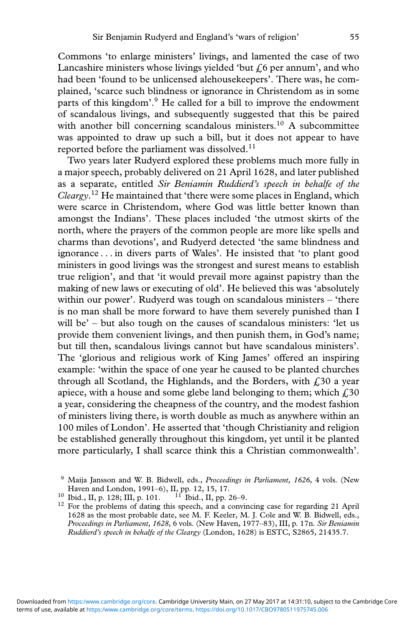Commons 'to enlarge ministers' livings, and lamented the case of two Lancashire ministers whose livings yielded 'but  $f<sub>i</sub>$  o per annum', and who had been 'found to be unlicensed alehousekeepers'. There was, he complained, 'scarce such blindness or ignorance in Christendom as in some parts of this kingdom'.<sup>9</sup> He called for a bill to improve the endowment of scandalous livings, and subsequently suggested that this be paired with another bill concerning scandalous ministers.<sup>10</sup> A subcommittee was appointed to draw up such a bill, but it does not appear to have reported before the parliament was dissolved.<sup>11</sup>

Two years later Rudyerd explored these problems much more fully in a major speech, probably delivered on 21 April 1628, and later published as a separate, entitled *Sir Beniamin Ruddierd's speech in behalfe of the Cleargy*. <sup>12</sup> He maintained that 'there were some places in England, which were scarce in Christendom, where God was little better known than amongst the Indians'. These places included 'the utmost skirts of the north, where the prayers of the common people are more like spells and charms than devotions', and Rudyerd detected 'the same blindness and ignorance . . . in divers parts of Wales'. He insisted that 'to plant good ministers in good livings was the strongest and surest means to establish true religion', and that 'it would prevail more against papistry than the making of new laws or executing of old'. He believed this was 'absolutely within our power'. Rudyerd was tough on scandalous ministers – 'there is no man shall be more forward to have them severely punished than I will be' – but also tough on the causes of scandalous ministers: 'let us provide them convenient livings, and then punish them, in God's name; but till then, scandalous livings cannot but have scandalous ministers'. The 'glorious and religious work of King James' offered an inspiring example: 'within the space of one year he caused to be planted churches through all Scotland, the Highlands, and the Borders, with  $f<sub>1</sub>30$  a year apiece, with a house and some glebe land belonging to them; which  $f<sub>1</sub>30$ a year, considering the cheapness of the country, and the modest fashion of ministers living there, is worth double as much as anywhere within an 100 miles of London'. He asserted that 'though Christianity and religion be established generally throughout this kingdom, yet until it be planted more particularly, I shall scarce think this a Christian commonwealth'.

<sup>9</sup> Maija Jansson and W. B. Bidwell, eds., *Proceedings in Parliament, 1626*, 4 vols. (New Haven and London, 1991–6), II, pp. 12, 15, 17.  $^{10}$  Ibid., II, p. 128; III, p. 101.  $^{11}$  Ibid., II, pp. 26–9.  $^{12}$  For the problems of dating this speech, and a convincing case for regarding 21 April

<sup>1628</sup> as the most probable date, see M. F. Keeler, M. J. Cole and W. B. Bidwell, eds., *Proceedings in Parliament, 1628*, 6 vols. (New Haven, 1977–83), III, p. 17n. *Sir Beniamin Ruddierd's speech in behalfe of the Cleargy* (London, 1628) is ESTC, S2865, 21435.7.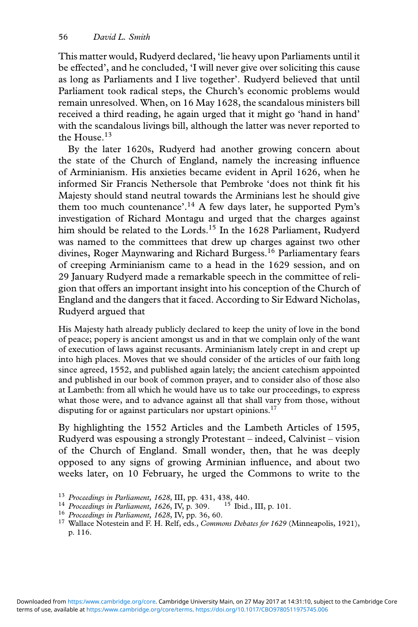This matter would, Rudyerd declared, 'lie heavy upon Parliaments until it be effected', and he concluded, 'I will never give over soliciting this cause as long as Parliaments and I live together'. Rudyerd believed that until Parliament took radical steps, the Church's economic problems would remain unresolved. When, on 16 May 1628, the scandalous ministers bill received a third reading, he again urged that it might go 'hand in hand' with the scandalous livings bill, although the latter was never reported to the House.<sup>13</sup>

By the later 1620s, Rudyerd had another growing concern about the state of the Church of England, namely the increasing influence of Arminianism. His anxieties became evident in April 1626, when he informed Sir Francis Nethersole that Pembroke 'does not think fit his Majesty should stand neutral towards the Arminians lest he should give them too much countenance'.<sup>14</sup> A few days later, he supported Pym's investigation of Richard Montagu and urged that the charges against him should be related to the Lords.<sup>15</sup> In the 1628 Parliament, Rudyerd was named to the committees that drew up charges against two other divines, Roger Maynwaring and Richard Burgess.<sup>16</sup> Parliamentary fears of creeping Arminianism came to a head in the 1629 session, and on 29 January Rudyerd made a remarkable speech in the committee of religion that offers an important insight into his conception of the Church of England and the dangers that it faced. According to Sir Edward Nicholas, Rudyerd argued that

His Majesty hath already publicly declared to keep the unity of love in the bond of peace; popery is ancient amongst us and in that we complain only of the want of execution of laws against recusants. Arminianism lately crept in and crept up into high places. Moves that we should consider of the articles of our faith long since agreed, 1552, and published again lately; the ancient catechism appointed and published in our book of common prayer, and to consider also of those also at Lambeth: from all which he would have us to take our proceedings, to express what those were, and to advance against all that shall vary from those, without disputing for or against particulars nor upstart opinions.<sup>17</sup>

By highlighting the 1552 Articles and the Lambeth Articles of 1595, Rudyerd was espousing a strongly Protestant – indeed, Calvinist – vision of the Church of England. Small wonder, then, that he was deeply opposed to any signs of growing Arminian influence, and about two weeks later, on 10 February, he urged the Commons to write to the

<sup>&</sup>lt;sup>13</sup> Proceedings in Parliament, 1628, III, pp. 431, 438, 440.<br><sup>14</sup> Proceedings in Parliament, 1626, IV, p. 309.<br><sup>15</sup> Ibid., III, p. 101.<br><sup>16</sup> Proceedings in Parliament, 1628, IV, pp. 36, 60.<br><sup>17</sup> Wallace Notestein and F. p. 116.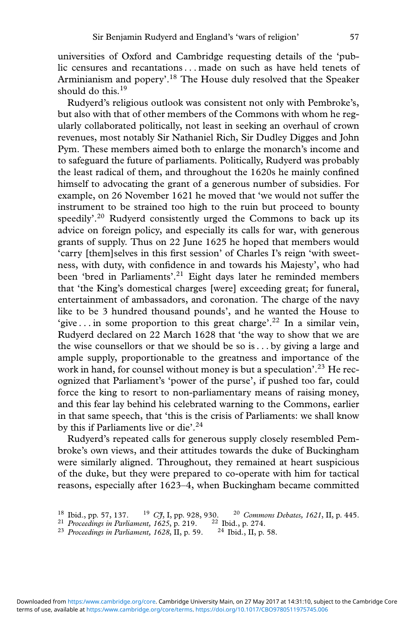universities of Oxford and Cambridge requesting details of the 'public censures and recantations . . . made on such as have held tenets of Arminianism and popery'.<sup>18</sup> The House duly resolved that the Speaker should do this.<sup>19</sup>

Rudyerd's religious outlook was consistent not only with Pembroke's, but also with that of other members of the Commons with whom he regularly collaborated politically, not least in seeking an overhaul of crown revenues, most notably Sir Nathaniel Rich, Sir Dudley Digges and John Pym. These members aimed both to enlarge the monarch's income and to safeguard the future of parliaments. Politically, Rudyerd was probably the least radical of them, and throughout the 1620s he mainly confined himself to advocating the grant of a generous number of subsidies. For example, on 26 November 1621 he moved that 'we would not suffer the instrument to be strained too high to the ruin but proceed to bounty speedily'.<sup>20</sup> Rudyerd consistently urged the Commons to back up its advice on foreign policy, and especially its calls for war, with generous grants of supply. Thus on 22 June 1625 he hoped that members would 'carry [them]selves in this first session' of Charles I's reign 'with sweetness, with duty, with confidence in and towards his Majesty', who had been 'bred in Parliaments'.<sup>21</sup> Eight days later he reminded members that 'the King's domestical charges [were] exceeding great; for funeral, entertainment of ambassadors, and coronation. The charge of the navy like to be 3 hundred thousand pounds', and he wanted the House to 'give ... in some proportion to this great charge'.<sup>22</sup> In a similar vein, Rudyerd declared on 22 March 1628 that 'the way to show that we are the wise counsellors or that we should be so is . . . by giving a large and ample supply, proportionable to the greatness and importance of the work in hand, for counsel without money is but a speculation'.<sup>23</sup> He recognized that Parliament's 'power of the purse', if pushed too far, could force the king to resort to non-parliamentary means of raising money, and this fear lay behind his celebrated warning to the Commons, earlier in that same speech, that 'this is the crisis of Parliaments: we shall know by this if Parliaments live or die'.<sup>24</sup>

Rudyerd's repeated calls for generous supply closely resembled Pembroke's own views, and their attitudes towards the duke of Buckingham were similarly aligned. Throughout, they remained at heart suspicious of the duke, but they were prepared to co-operate with him for tactical reasons, especially after 1623–4, when Buckingham became committed

<sup>&</sup>lt;sup>18</sup> Ibid., pp. 57, 137. <sup>19</sup> CJ, I, pp. 928, 930. <sup>20</sup> Commons Debates, 1621, II, p. 445.<br><sup>21</sup> Proceedings in Parliament, 1625, p. 219. <sup>22</sup> Ibid., p. 274.<br><sup>23</sup> Proceedings in Parliament, 1628, II, p. 59. <sup>24</sup> Ibid., II,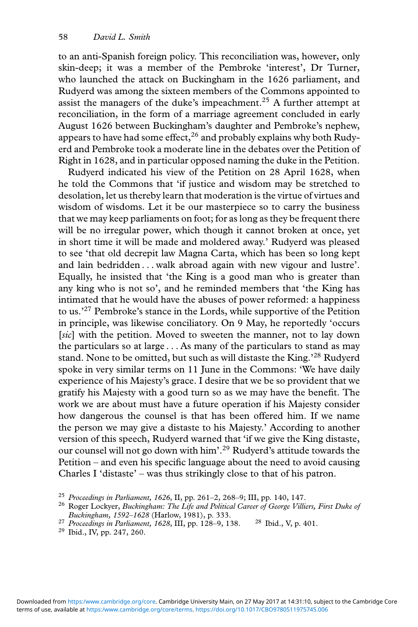to an anti-Spanish foreign policy. This reconciliation was, however, only skin-deep; it was a member of the Pembroke 'interest', Dr Turner, who launched the attack on Buckingham in the 1626 parliament, and Rudyerd was among the sixteen members of the Commons appointed to assist the managers of the duke's impeachment.<sup>25</sup> A further attempt at reconciliation, in the form of a marriage agreement concluded in early August 1626 between Buckingham's daughter and Pembroke's nephew, appears to have had some effect, $2^6$  and probably explains why both Rudyerd and Pembroke took a moderate line in the debates over the Petition of Right in 1628, and in particular opposed naming the duke in the Petition.

Rudyerd indicated his view of the Petition on 28 April 1628, when he told the Commons that 'if justice and wisdom may be stretched to desolation, let us thereby learn that moderation is the virtue of virtues and wisdom of wisdoms. Let it be our masterpiece so to carry the business that we may keep parliaments on foot; for as long as they be frequent there will be no irregular power, which though it cannot broken at once, yet in short time it will be made and moldered away.' Rudyerd was pleased to see 'that old decrepit law Magna Carta, which has been so long kept and lain bedridden . . . walk abroad again with new vigour and lustre'. Equally, he insisted that 'the King is a good man who is greater than any king who is not so', and he reminded members that 'the King has intimated that he would have the abuses of power reformed: a happiness to us.'27 Pembroke's stance in the Lords, while supportive of the Petition in principle, was likewise conciliatory. On 9 May, he reportedly 'occurs [sic] with the petition. Moved to sweeten the manner, not to lay down the particulars so at large . . . As many of the particulars to stand as may stand. None to be omitted, but such as will distaste the King.'<sup>28</sup> Rudyerd spoke in very similar terms on 11 June in the Commons: 'We have daily experience of his Majesty's grace. I desire that we be so provident that we gratify his Majesty with a good turn so as we may have the benefit. The work we are about must have a future operation if his Majesty consider how dangerous the counsel is that has been offered him. If we name the person we may give a distaste to his Majesty.' According to another version of this speech, Rudyerd warned that 'if we give the King distaste, our counsel will not go down with him'.<sup>29</sup> Rudyerd's attitude towards the Petition – and even his specific language about the need to avoid causing Charles I 'distaste' – was thus strikingly close to that of his patron.

<sup>&</sup>lt;sup>25</sup> *Proceedings in Parliament, 1626, II, pp. 261–2, 268–9; III, pp. 140, 147.*<br><sup>26</sup> Roger Lockyer, *Buckingham: The Life and Political Career of George Villiers, First Duke of Buckingham, 1592–1628* (Harlow, 1981), p.

*Buckingham, 1592–1628* (Harlow, 1981), p. 333. <sup>27</sup> *Proceedings in Parliament, 1628*, III, pp. 128–9, 138. <sup>28</sup> Ibid., V, p. 401. <sup>29</sup> Ibid., IV, pp. 247, 260.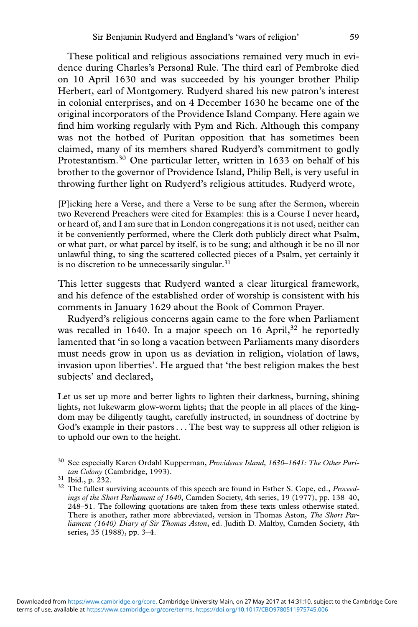These political and religious associations remained very much in evidence during Charles's Personal Rule. The third earl of Pembroke died on 10 April 1630 and was succeeded by his younger brother Philip Herbert, earl of Montgomery. Rudyerd shared his new patron's interest in colonial enterprises, and on 4 December 1630 he became one of the original incorporators of the Providence Island Company. Here again we find him working regularly with Pym and Rich. Although this company was not the hotbed of Puritan opposition that has sometimes been claimed, many of its members shared Rudyerd's commitment to godly Protestantism.<sup>30</sup> One particular letter, written in 1633 on behalf of his brother to the governor of Providence Island, Philip Bell, is very useful in throwing further light on Rudyerd's religious attitudes. Rudyerd wrote,

[P]icking here a Verse, and there a Verse to be sung after the Sermon, wherein two Reverend Preachers were cited for Examples: this is a Course I never heard, or heard of, and I am sure that in London congregations it is not used, neither can it be conveniently performed, where the Clerk doth publicly direct what Psalm, or what part, or what parcel by itself, is to be sung; and although it be no ill nor unlawful thing, to sing the scattered collected pieces of a Psalm, yet certainly it is no discretion to be unnecessarily singular.<sup>31</sup>

This letter suggests that Rudyerd wanted a clear liturgical framework, and his defence of the established order of worship is consistent with his comments in January 1629 about the Book of Common Prayer.

Rudyerd's religious concerns again came to the fore when Parliament was recalled in 1640. In a major speech on 16 April,  $32$  he reportedly lamented that 'in so long a vacation between Parliaments many disorders must needs grow in upon us as deviation in religion, violation of laws, invasion upon liberties'. He argued that 'the best religion makes the best subjects' and declared,

Let us set up more and better lights to lighten their darkness, burning, shining lights, not lukewarm glow-worm lights; that the people in all places of the kingdom may be diligently taught, carefully instructed, in soundness of doctrine by God's example in their pastors . . . The best way to suppress all other religion is to uphold our own to the height.

<sup>30</sup> See especially Karen Ordahl Kupperman, *Providence Island, 1630–1641: The Other Puri-*

<sup>&</sup>lt;sup>31</sup> Ibid., p. 232.<br><sup>32</sup> The fullest surviving accounts of this speech are found in Esther S. Cope, ed., *Proceedings of the Short Parliament of 1640*, Camden Society, 4th series, 19 (1977), pp. 138–40, 248–51. The following quotations are taken from these texts unless otherwise stated. There is another, rather more abbreviated, version in Thomas Aston, *The Short Parliament (1640) Diary of Sir Thomas Aston*, ed. Judith D. Maltby, Camden Society, 4th series, 35 (1988), pp. 3–4.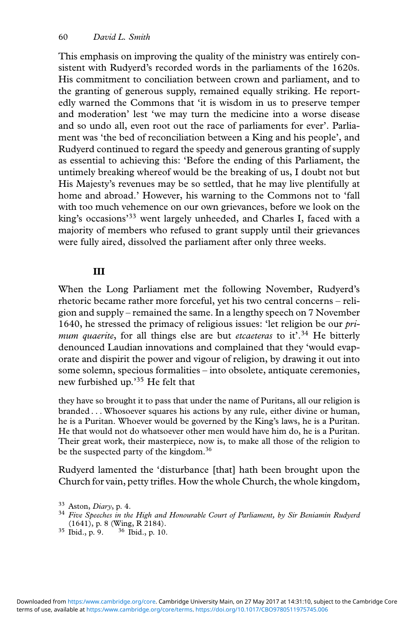This emphasis on improving the quality of the ministry was entirely consistent with Rudyerd's recorded words in the parliaments of the 1620s. His commitment to conciliation between crown and parliament, and to the granting of generous supply, remained equally striking. He reportedly warned the Commons that 'it is wisdom in us to preserve temper and moderation' lest 'we may turn the medicine into a worse disease and so undo all, even root out the race of parliaments for ever'. Parliament was 'the bed of reconciliation between a King and his people', and Rudyerd continued to regard the speedy and generous granting of supply as essential to achieving this: 'Before the ending of this Parliament, the untimely breaking whereof would be the breaking of us, I doubt not but His Majesty's revenues may be so settled, that he may live plentifully at home and abroad.' However, his warning to the Commons not to 'fall with too much vehemence on our own grievances, before we look on the king's occasions<sup>'33</sup> went largely unheeded, and Charles I, faced with a majority of members who refused to grant supply until their grievances were fully aired, dissolved the parliament after only three weeks.

#### **III**

When the Long Parliament met the following November, Rudyerd's rhetoric became rather more forceful, yet his two central concerns – religion and supply – remained the same. In a lengthy speech on 7 November 1640, he stressed the primacy of religious issues: 'let religion be our *primum quaerite*, for all things else are but *etcaeteras* to it<sup>', 34</sup> He bitterly denounced Laudian innovations and complained that they 'would evaporate and dispirit the power and vigour of religion, by drawing it out into some solemn, specious formalities – into obsolete, antiquate ceremonies, new furbished up.'35 He felt that

they have so brought it to pass that under the name of Puritans, all our religion is branded . . . Whosoever squares his actions by any rule, either divine or human, he is a Puritan. Whoever would be governed by the King's laws, he is a Puritan. He that would not do whatsoever other men would have him do, he is a Puritan. Their great work, their masterpiece, now is, to make all those of the religion to be the suspected party of the kingdom.<sup>36</sup>

Rudyerd lamented the 'disturbance [that] hath been brought upon the Church for vain, petty trifles. How the whole Church, the whole kingdom,

<sup>&</sup>lt;sup>33</sup> Aston, *Diary*, p. 4.<br><sup>34</sup> Five Speeches in the High and Honourable Court of Parliament, by Sir Beniamin Rudyerd (1641), p. 8 (Wing, R 2184).<br><sup>35</sup> Ibid., p. 9. <sup>36</sup> Ibid., p. 10.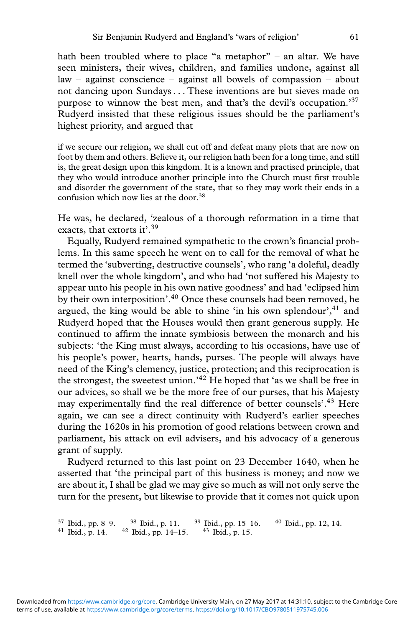hath been troubled where to place "a metaphor" – an altar. We have seen ministers, their wives, children, and families undone, against all law – against conscience – against all bowels of compassion – about not dancing upon Sundays . . . These inventions are but sieves made on purpose to winnow the best men, and that's the devil's occupation.<sup>37</sup> Rudyerd insisted that these religious issues should be the parliament's highest priority, and argued that

if we secure our religion, we shall cut off and defeat many plots that are now on foot by them and others. Believe it, our religion hath been for a long time, and still is, the great design upon this kingdom. It is a known and practised principle, that they who would introduce another principle into the Church must first trouble and disorder the government of the state, that so they may work their ends in a confusion which now lies at the door.<sup>38</sup>

He was, he declared, 'zealous of a thorough reformation in a time that exacts, that extorts it'.<sup>39</sup>

Equally, Rudyerd remained sympathetic to the crown's financial problems. In this same speech he went on to call for the removal of what he termed the 'subverting, destructive counsels', who rang 'a doleful, deadly knell over the whole kingdom', and who had 'not suffered his Majesty to appear unto his people in his own native goodness' and had 'eclipsed him by their own interposition'.40 Once these counsels had been removed, he argued, the king would be able to shine 'in his own splendour', $41$  and Rudyerd hoped that the Houses would then grant generous supply. He continued to affirm the innate symbiosis between the monarch and his subjects: 'the King must always, according to his occasions, have use of his people's power, hearts, hands, purses. The people will always have need of the King's clemency, justice, protection; and this reciprocation is the strongest, the sweetest union.'<sup>42</sup> He hoped that 'as we shall be free in our advices, so shall we be the more free of our purses, that his Majesty may experimentally find the real difference of better counsels'.<sup>43</sup> Here again, we can see a direct continuity with Rudyerd's earlier speeches during the 1620s in his promotion of good relations between crown and parliament, his attack on evil advisers, and his advocacy of a generous grant of supply.

Rudyerd returned to this last point on 23 December 1640, when he asserted that 'the principal part of this business is money; and now we are about it, I shall be glad we may give so much as will not only serve the turn for the present, but likewise to provide that it comes not quick upon

<sup>37</sup> Ibid., pp. 8–9. <sup>38</sup> Ibid., p. 11. <sup>39</sup> Ibid., pp. 15–16. <sup>40</sup> Ibid., pp. 12, 14. <sup>41</sup> Ibid., p. 14. <sup>42</sup> Ibid., pp. 14–15. <sup>43</sup> Ibid., p. 15.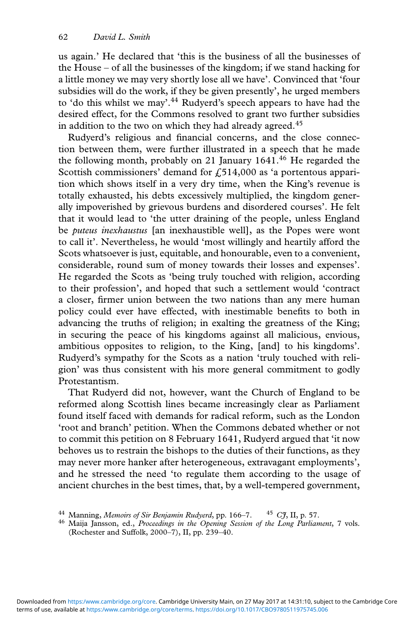us again.' He declared that 'this is the business of all the businesses of the House – of all the businesses of the kingdom; if we stand hacking for a little money we may very shortly lose all we have'. Convinced that 'four subsidies will do the work, if they be given presently', he urged members to 'do this whilst we may'.<sup>44</sup> Rudyerd's speech appears to have had the desired effect, for the Commons resolved to grant two further subsidies in addition to the two on which they had already agreed.<sup>45</sup>

Rudyerd's religious and financial concerns, and the close connection between them, were further illustrated in a speech that he made the following month, probably on 21 January  $1641<sup>46</sup>$  He regarded the Scottish commissioners' demand for  $f<sub>1</sub>514,000$  as 'a portentous apparition which shows itself in a very dry time, when the King's revenue is totally exhausted, his debts excessively multiplied, the kingdom generally impoverished by grievous burdens and disordered courses'. He felt that it would lead to 'the utter draining of the people, unless England be *puteus inexhaustus* [an inexhaustible well], as the Popes were wont to call it'. Nevertheless, he would 'most willingly and heartily afford the Scots whatsoever is just, equitable, and honourable, even to a convenient, considerable, round sum of money towards their losses and expenses'. He regarded the Scots as 'being truly touched with religion, according to their profession', and hoped that such a settlement would 'contract a closer, firmer union between the two nations than any mere human policy could ever have effected, with inestimable benefits to both in advancing the truths of religion; in exalting the greatness of the King; in securing the peace of his kingdoms against all malicious, envious, ambitious opposites to religion, to the King, [and] to his kingdoms'. Rudyerd's sympathy for the Scots as a nation 'truly touched with religion' was thus consistent with his more general commitment to godly Protestantism.

That Rudyerd did not, however, want the Church of England to be reformed along Scottish lines became increasingly clear as Parliament found itself faced with demands for radical reform, such as the London 'root and branch' petition. When the Commons debated whether or not to commit this petition on 8 February 1641, Rudyerd argued that 'it now behoves us to restrain the bishops to the duties of their functions, as they may never more hanker after heterogeneous, extravagant employments', and he stressed the need 'to regulate them according to the usage of ancient churches in the best times, that, by a well-tempered government,

<sup>44</sup> Manning, *Memoirs of Sir Benjamin Rudyerd*, pp. 166–7. <sup>45</sup> *CJ*, II, p. 57. <sup>46</sup> Maija Jansson, ed., *Proceedings in the Opening Session of the Long Parliament*, 7 vols. (Rochester and Suffolk, 2000–7), II, pp. 239–40.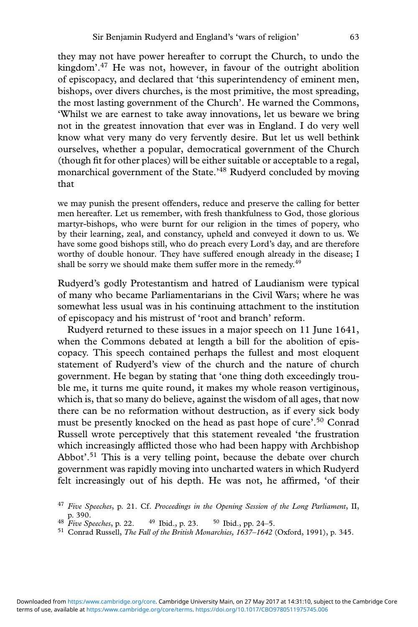they may not have power hereafter to corrupt the Church, to undo the kingdom'.<sup>47</sup> He was not, however, in favour of the outright abolition of episcopacy, and declared that 'this superintendency of eminent men, bishops, over divers churches, is the most primitive, the most spreading, the most lasting government of the Church'. He warned the Commons, 'Whilst we are earnest to take away innovations, let us beware we bring not in the greatest innovation that ever was in England. I do very well know what very many do very fervently desire. But let us well bethink ourselves, whether a popular, democratical government of the Church (though fit for other places) will be either suitable or acceptable to a regal, monarchical government of the State.'48 Rudyerd concluded by moving that

we may punish the present offenders, reduce and preserve the calling for better men hereafter. Let us remember, with fresh thankfulness to God, those glorious martyr-bishops, who were burnt for our religion in the times of popery, who by their learning, zeal, and constancy, upheld and conveyed it down to us. We have some good bishops still, who do preach every Lord's day, and are therefore worthy of double honour. They have suffered enough already in the disease; I shall be sorry we should make them suffer more in the remedy.<sup>49</sup>

Rudyerd's godly Protestantism and hatred of Laudianism were typical of many who became Parliamentarians in the Civil Wars; where he was somewhat less usual was in his continuing attachment to the institution of episcopacy and his mistrust of 'root and branch' reform.

Rudyerd returned to these issues in a major speech on 11 June 1641, when the Commons debated at length a bill for the abolition of episcopacy. This speech contained perhaps the fullest and most eloquent statement of Rudyerd's view of the church and the nature of church government. He began by stating that 'one thing doth exceedingly trouble me, it turns me quite round, it makes my whole reason vertiginous, which is, that so many do believe, against the wisdom of all ages, that now there can be no reformation without destruction, as if every sick body must be presently knocked on the head as past hope of cure'.<sup>50</sup> Conrad Russell wrote perceptively that this statement revealed 'the frustration which increasingly afflicted those who had been happy with Archbishop Abbot'.<sup>51</sup> This is a very telling point, because the debate over church government was rapidly moving into uncharted waters in which Rudyerd felt increasingly out of his depth. He was not, he affirmed, 'of their

- 
- p. 390. <sup>48</sup> *Five Speeches*, p. 22. <sup>49</sup> Ibid., p. 23. <sup>50</sup> Ibid., pp. 24–5. <sup>51</sup> Conrad Russell, *The Fall of the British Monarchies, 1637–1642* (Oxford, 1991), p. 345.

<sup>&</sup>lt;sup>47</sup> *Five Speeches*, p. 21. Cf. *Proceedings in the Opening Session of the Long Parliament*, II, p. 390.<br><sup>49</sup> Ibid., p. 23. <sup>50</sup> Ibid., pp. 24–5.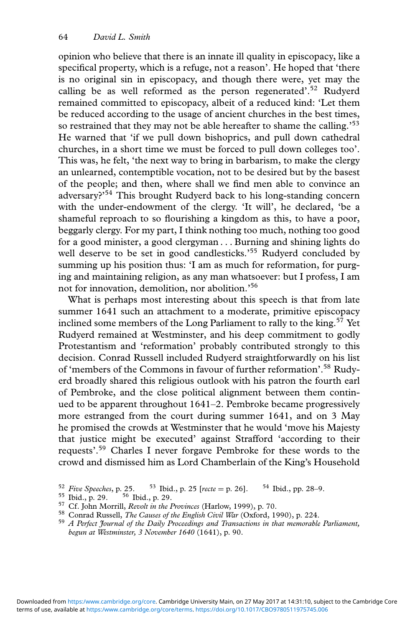opinion who believe that there is an innate ill quality in episcopacy, like a specifical property, which is a refuge, not a reason'. He hoped that 'there is no original sin in episcopacy, and though there were, yet may the calling be as well reformed as the person regenerated'.<sup>52</sup> Rudyerd remained committed to episcopacy, albeit of a reduced kind: 'Let them be reduced according to the usage of ancient churches in the best times, so restrained that they may not be able hereafter to shame the calling.<sup>53</sup> He warned that 'if we pull down bishoprics, and pull down cathedral churches, in a short time we must be forced to pull down colleges too'. This was, he felt, 'the next way to bring in barbarism, to make the clergy an unlearned, contemptible vocation, not to be desired but by the basest of the people; and then, where shall we find men able to convince an adversary?'54 This brought Rudyerd back to his long-standing concern with the under-endowment of the clergy. 'It will', he declared, 'be a shameful reproach to so flourishing a kingdom as this, to have a poor, beggarly clergy. For my part, I think nothing too much, nothing too good for a good minister, a good clergyman . . . Burning and shining lights do well deserve to be set in good candlesticks.<sup>555</sup> Rudyerd concluded by summing up his position thus: 'I am as much for reformation, for purging and maintaining religion, as any man whatsoever: but I profess, I am not for innovation, demolition, nor abolition.'56

What is perhaps most interesting about this speech is that from late summer 1641 such an attachment to a moderate, primitive episcopacy inclined some members of the Long Parliament to rally to the king.<sup>57</sup> Yet Rudyerd remained at Westminster, and his deep commitment to godly Protestantism and 'reformation' probably contributed strongly to this decision. Conrad Russell included Rudyerd straightforwardly on his list of 'members of the Commons in favour of further reformation'.58 Rudyerd broadly shared this religious outlook with his patron the fourth earl of Pembroke, and the close political alignment between them continued to be apparent throughout 1641–2. Pembroke became progressively more estranged from the court during summer 1641, and on 3 May he promised the crowds at Westminster that he would 'move his Majesty that justice might be executed' against Strafford 'according to their requests'.59 Charles I never forgave Pembroke for these words to the crowd and dismissed him as Lord Chamberlain of the King's Household

<sup>&</sup>lt;sup>52</sup> *Five Speeches*, p. 25. <sup>53</sup> Ibid., p. 25 [*recte* = p. 26]. <sup>54</sup> Ibid., pp. 28–9.<br><sup>55</sup> Ibid., p. 29. <sup>56</sup> Ibid., p. 29.<br><sup>57</sup> Cf. John Morrill, *Revolt in the Provinces* (Harlow, 1999), p. 70.<br><sup>58</sup> Conrad Russell, *T begun at Westminster, 3 November 1640* (1641), p. 90.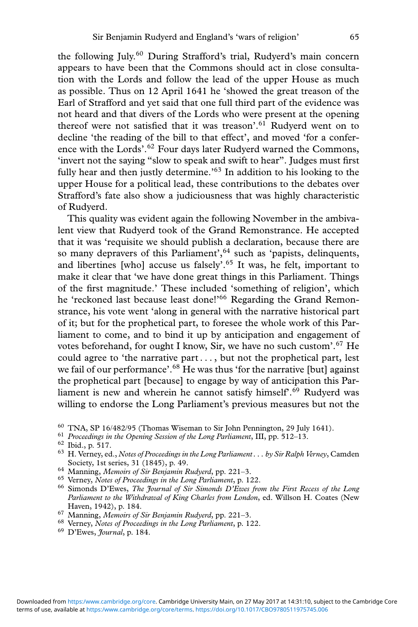the following July.<sup>60</sup> During Strafford's trial, Rudyerd's main concern appears to have been that the Commons should act in close consultation with the Lords and follow the lead of the upper House as much as possible. Thus on 12 April 1641 he 'showed the great treason of the Earl of Strafford and yet said that one full third part of the evidence was not heard and that divers of the Lords who were present at the opening thereof were not satisfied that it was treason'.<sup>61</sup> Rudyerd went on to decline 'the reading of the bill to that effect', and moved 'for a conference with the Lords'.<sup>62</sup> Four days later Rudyerd warned the Commons, 'invert not the saying "slow to speak and swift to hear". Judges must first fully hear and then justly determine.'<sup>63</sup> In addition to his looking to the upper House for a political lead, these contributions to the debates over Strafford's fate also show a judiciousness that was highly characteristic of Rudyerd.

This quality was evident again the following November in the ambivalent view that Rudyerd took of the Grand Remonstrance. He accepted that it was 'requisite we should publish a declaration, because there are so many depravers of this Parliament', <sup>64</sup> such as 'papists, delinquents, and libertines [who] accuse us falsely'.65 It was, he felt, important to make it clear that 'we have done great things in this Parliament. Things of the first magnitude.' These included 'something of religion', which he 'reckoned last because least done!'<sup>66</sup> Regarding the Grand Remonstrance, his vote went 'along in general with the narrative historical part of it; but for the prophetical part, to foresee the whole work of this Parliament to come, and to bind it up by anticipation and engagement of votes beforehand, for ought I know, Sir, we have no such custom'.<sup>67</sup> He could agree to 'the narrative part . . . , but not the prophetical part, lest we fail of our performance'.<sup>68</sup> He was thus 'for the narrative [but] against the prophetical part [because] to engage by way of anticipation this Parliament is new and wherein he cannot satisfy himself<sup>.69</sup> Rudyerd was willing to endorse the Long Parliament's previous measures but not the

- <sup>60</sup> TNA, SP 16/482/95 (Thomas Wiseman to Sir John Pennington, 29 July 1641).<br>
<sup>61</sup> Proceedings in the Opening Session of the Long Parliament, III, pp. 512–13.<br>
<sup>62</sup> Ibid., p. 517.<br>
<sup>63</sup> H. Verney, ed., *Notes of Proceedi*
- 
- 
- <sup>64</sup> Manning, Memoirs of Sir Benjamin Rudyerd, pp. 221–3.<br><sup>65</sup> Verney, Notes of Proceedings in the Long Parliament, p. 122.<br><sup>66</sup> Simonds D'Ewes, *The Journal of Sir Simonds D'Ewes from the First Recess of the Long Parliament to the Withdrawal of King Charles from London*, ed. Willson H. Coates (New
- 
- <sup>67</sup> Manning, *Memoirs of Sir Benjamin Rudyerd*, pp. 221–3.<br><sup>68</sup> Verney, *Notes of Proceedings in the Long Parliament*, p. 122.<br><sup>69</sup> D'Ewes, *Journal*, p. 184.
-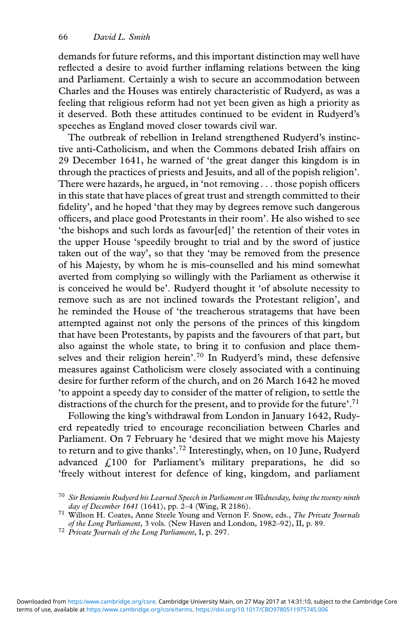demands for future reforms, and this important distinction may well have reflected a desire to avoid further inflaming relations between the king and Parliament. Certainly a wish to secure an accommodation between Charles and the Houses was entirely characteristic of Rudyerd, as was a feeling that religious reform had not yet been given as high a priority as it deserved. Both these attitudes continued to be evident in Rudyerd's speeches as England moved closer towards civil war.

The outbreak of rebellion in Ireland strengthened Rudyerd's instinctive anti-Catholicism, and when the Commons debated Irish affairs on 29 December 1641, he warned of 'the great danger this kingdom is in through the practices of priests and Jesuits, and all of the popish religion'. There were hazards, he argued, in 'not removing . . . those popish officers in this state that have places of great trust and strength committed to their fidelity', and he hoped 'that they may by degrees remove such dangerous officers, and place good Protestants in their room'. He also wished to see 'the bishops and such lords as favour[ed]' the retention of their votes in the upper House 'speedily brought to trial and by the sword of justice taken out of the way', so that they 'may be removed from the presence of his Majesty, by whom he is mis-counselled and his mind somewhat averted from complying so willingly with the Parliament as otherwise it is conceived he would be'. Rudyerd thought it 'of absolute necessity to remove such as are not inclined towards the Protestant religion', and he reminded the House of 'the treacherous stratagems that have been attempted against not only the persons of the princes of this kingdom that have been Protestants, by papists and the favourers of that part, but also against the whole state, to bring it to confusion and place themselves and their religion herein'.<sup>70</sup> In Rudyerd's mind, these defensive measures against Catholicism were closely associated with a continuing desire for further reform of the church, and on 26 March 1642 he moved 'to appoint a speedy day to consider of the matter of religion, to settle the distractions of the church for the present, and to provide for the future'.<sup>71</sup>

Following the king's withdrawal from London in January 1642, Rudyerd repeatedly tried to encourage reconciliation between Charles and Parliament. On 7 February he 'desired that we might move his Majesty to return and to give thanks'.<sup>72</sup> Interestingly, when, on 10 June, Rudyerd advanced £100 for Parliament's military preparations, he did so 'freely without interest for defence of king, kingdom, and parliament

<sup>70</sup> *Sir Beniamin Rudyerd his Learned Speech in Parliament on Wednesday, being the twenty ninth*

<sup>&</sup>lt;sup>71</sup> Willson H. Coates, Anne Steele Young and Vernon F. Snow, eds., *The Private Journals of the Long Parliament*, 3 vols. (New Haven and London, 1982–92), II, p. 89. <sup>72</sup> *Private Journals of the Long Parliament*, I, p. 297.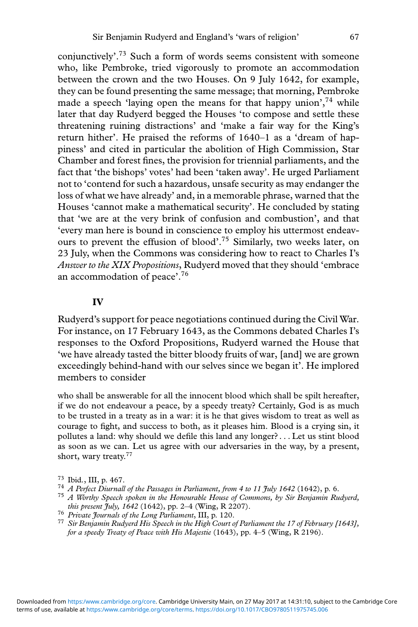conjunctively'.<sup>73</sup> Such a form of words seems consistent with someone who, like Pembroke, tried vigorously to promote an accommodation between the crown and the two Houses. On 9 July 1642, for example, they can be found presenting the same message; that morning, Pembroke made a speech 'laying open the means for that happy union',  $74$  while later that day Rudyerd begged the Houses 'to compose and settle these threatening ruining distractions' and 'make a fair way for the King's return hither'. He praised the reforms of 1640–1 as a 'dream of happiness' and cited in particular the abolition of High Commission, Star Chamber and forest fines, the provision for triennial parliaments, and the fact that 'the bishops' votes' had been 'taken away'. He urged Parliament not to 'contend for such a hazardous, unsafe security as may endanger the loss of what we have already' and, in a memorable phrase, warned that the Houses 'cannot make a mathematical security'. He concluded by stating that 'we are at the very brink of confusion and combustion', and that 'every man here is bound in conscience to employ his uttermost endeavours to prevent the effusion of blood'.<sup>75</sup> Similarly, two weeks later, on 23 July, when the Commons was considering how to react to Charles I's *Answer to the XIX Propositions*, Rudyerd moved that they should 'embrace an accommodation of peace'.76

#### **IV**

Rudyerd's support for peace negotiations continued during the Civil War. For instance, on 17 February 1643, as the Commons debated Charles I's responses to the Oxford Propositions, Rudyerd warned the House that 'we have already tasted the bitter bloody fruits of war, [and] we are grown exceedingly behind-hand with our selves since we began it'. He implored members to consider

who shall be answerable for all the innocent blood which shall be spilt hereafter, if we do not endeavour a peace, by a speedy treaty? Certainly, God is as much to be trusted in a treaty as in a war: it is he that gives wisdom to treat as well as courage to fight, and success to both, as it pleases him. Blood is a crying sin, it pollutes a land: why should we defile this land any longer?. . . Let us stint blood as soon as we can. Let us agree with our adversaries in the way, by a present, short, wary treaty.<sup>77</sup>

<sup>76</sup> Private Journals of the Long Parliament, III, p. 120.<br><sup>77</sup> Sir Benjamin Rudyerd His Speech in the High Court of Parliament the 17 of February [1643], *for a speedy Treaty of Peace with His Majestie* (1643), pp. 4–5 (Wing, R 2196).

<sup>&</sup>lt;sup>73</sup> Ibid., III, p. 467.<br><sup>74</sup> *A Perfect Diurnall of the Passages in Parliament, from 4 to 11 July 1642* (1642), p. 6.<br><sup>75</sup> *A Worthy Speech spoken in the Honourable House of Commons, by Sir Benjamin Rudyerd,*<br>*this presen*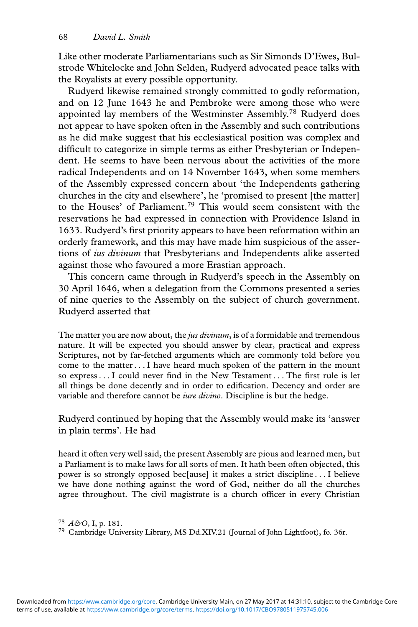Like other moderate Parliamentarians such as Sir Simonds D'Ewes, Bulstrode Whitelocke and John Selden, Rudyerd advocated peace talks with the Royalists at every possible opportunity.

Rudyerd likewise remained strongly committed to godly reformation, and on 12 June 1643 he and Pembroke were among those who were appointed lay members of the Westminster Assembly.<sup>78</sup> Rudyerd does not appear to have spoken often in the Assembly and such contributions as he did make suggest that his ecclesiastical position was complex and difficult to categorize in simple terms as either Presbyterian or Independent. He seems to have been nervous about the activities of the more radical Independents and on 14 November 1643, when some members of the Assembly expressed concern about 'the Independents gathering churches in the city and elsewhere', he 'promised to present [the matter] to the Houses' of Parliament.79 This would seem consistent with the reservations he had expressed in connection with Providence Island in 1633. Rudyerd's first priority appears to have been reformation within an orderly framework, and this may have made him suspicious of the assertions of *ius divinum* that Presbyterians and Independents alike asserted against those who favoured a more Erastian approach.

This concern came through in Rudyerd's speech in the Assembly on 30 April 1646, when a delegation from the Commons presented a series of nine queries to the Assembly on the subject of church government. Rudyerd asserted that

The matter you are now about, the *jus divinum*, is of a formidable and tremendous nature. It will be expected you should answer by clear, practical and express Scriptures, not by far-fetched arguments which are commonly told before you come to the matter . . . I have heard much spoken of the pattern in the mount so express . . . I could never find in the New Testament . . . The first rule is let all things be done decently and in order to edification. Decency and order are variable and therefore cannot be *iure divino*. Discipline is but the hedge.

## Rudyerd continued by hoping that the Assembly would make its 'answer in plain terms'. He had

heard it often very well said, the present Assembly are pious and learned men, but a Parliament is to make laws for all sorts of men. It hath been often objected, this power is so strongly opposed bec[ause] it makes a strict discipline . . . I believe we have done nothing against the word of God, neither do all the churches agree throughout. The civil magistrate is a church officer in every Christian

<sup>78</sup> *A&O*, I, p. 181.<br><sup>79</sup> Cambridge University Library, MS Dd.XIV.21 (Journal of John Lightfoot), fo. 36r.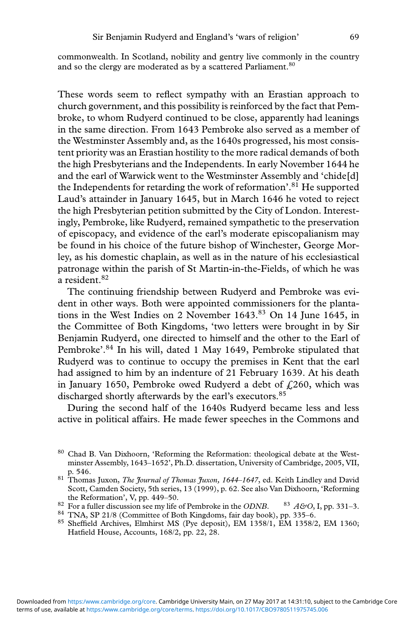commonwealth. In Scotland, nobility and gentry live commonly in the country and so the clergy are moderated as by a scattered Parliament.<sup>80</sup>

These words seem to reflect sympathy with an Erastian approach to church government, and this possibility is reinforced by the fact that Pembroke, to whom Rudyerd continued to be close, apparently had leanings in the same direction. From 1643 Pembroke also served as a member of the Westminster Assembly and, as the 1640s progressed, his most consistent priority was an Erastian hostility to the more radical demands of both the high Presbyterians and the Independents. In early November 1644 he and the earl of Warwick went to the Westminster Assembly and 'chide[d] the Independents for retarding the work of reformation'.<sup>81</sup> He supported Laud's attainder in January 1645, but in March 1646 he voted to reject the high Presbyterian petition submitted by the City of London. Interestingly, Pembroke, like Rudyerd, remained sympathetic to the preservation of episcopacy, and evidence of the earl's moderate episcopalianism may be found in his choice of the future bishop of Winchester, George Morley, as his domestic chaplain, as well as in the nature of his ecclesiastical patronage within the parish of St Martin-in-the-Fields, of which he was a resident.<sup>82</sup>

The continuing friendship between Rudyerd and Pembroke was evident in other ways. Both were appointed commissioners for the plantations in the West Indies on 2 November  $1643<sup>83</sup>$  On 14 June 1645, in the Committee of Both Kingdoms, 'two letters were brought in by Sir Benjamin Rudyerd, one directed to himself and the other to the Earl of Pembroke'.<sup>84</sup> In his will, dated 1 May 1649, Pembroke stipulated that Rudyerd was to continue to occupy the premises in Kent that the earl had assigned to him by an indenture of 21 February 1639. At his death in January 1650, Pembroke owed Rudyerd a debt of  $f(260)$ , which was discharged shortly afterwards by the earl's executors.<sup>85</sup>

During the second half of the 1640s Rudyerd became less and less active in political affairs. He made fewer speeches in the Commons and

<sup>80</sup> Chad B. Van Dixhoorn, 'Reforming the Reformation: theological debate at the Westminster Assembly, 1643–1652', Ph.D. dissertation, University of Cambridge, 2005, VII,

p. 546. <sup>81</sup> Thomas Juxon, *The Journal of Thomas Juxon, 1644–1647*, ed. Keith Lindley and David Scott, Camden Society, 5th series, 13 (1999), p. 62. See also Van Dixhoorn, 'Reforming the Reformation', V, pp. 449–50.

<sup>&</sup>lt;sup>82</sup> For a fuller discussion see my life of Pembroke in the *ODNB*. <sup>83</sup>  $A$ &O, I, pp. 331–3.<br><sup>84</sup> TNA, SP 21/8 (Committee of Both Kingdoms, fair day book), pp. 335–6.<br><sup>85</sup> Sheffield Archives, Elmhirst MS (Pve deposit), E

Hatfield House, Accounts, 168/2, pp. 22, 28.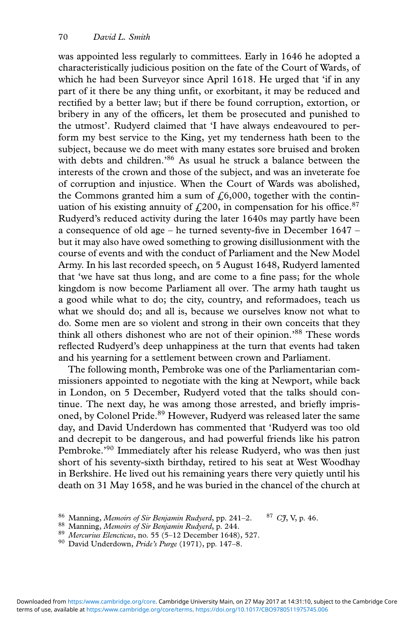was appointed less regularly to committees. Early in 1646 he adopted a characteristically judicious position on the fate of the Court of Wards, of which he had been Surveyor since April 1618. He urged that 'if in any part of it there be any thing unfit, or exorbitant, it may be reduced and rectified by a better law; but if there be found corruption, extortion, or bribery in any of the officers, let them be prosecuted and punished to the utmost'. Rudyerd claimed that 'I have always endeavoured to perform my best service to the King, yet my tenderness hath been to the subject, because we do meet with many estates sore bruised and broken with debts and children.'<sup>86</sup> As usual he struck a balance between the interests of the crown and those of the subject, and was an inveterate foe of corruption and injustice. When the Court of Wards was abolished, the Commons granted him a sum of  $f<sub>0</sub>000$ , together with the continuation of his existing annuity of  $f<sub>i</sub>200$ , in compensation for his office.<sup>87</sup> Rudyerd's reduced activity during the later 1640s may partly have been a consequence of old age – he turned seventy-five in December 1647 – but it may also have owed something to growing disillusionment with the course of events and with the conduct of Parliament and the New Model Army. In his last recorded speech, on 5 August 1648, Rudyerd lamented that 'we have sat thus long, and are come to a fine pass; for the whole kingdom is now become Parliament all over. The army hath taught us a good while what to do; the city, country, and reformadoes, teach us what we should do; and all is, because we ourselves know not what to do. Some men are so violent and strong in their own conceits that they think all others dishonest who are not of their opinion.'<sup>88</sup> These words reflected Rudyerd's deep unhappiness at the turn that events had taken and his yearning for a settlement between crown and Parliament.

The following month, Pembroke was one of the Parliamentarian commissioners appointed to negotiate with the king at Newport, while back in London, on 5 December, Rudyerd voted that the talks should continue. The next day, he was among those arrested, and briefly imprisoned, by Colonel Pride.<sup>89</sup> However, Rudyerd was released later the same day, and David Underdown has commented that 'Rudyerd was too old and decrepit to be dangerous, and had powerful friends like his patron Pembroke.<sup>'90</sup> Immediately after his release Rudyerd, who was then just short of his seventy-sixth birthday, retired to his seat at West Woodhay in Berkshire. He lived out his remaining years there very quietly until his death on 31 May 1658, and he was buried in the chancel of the church at

<sup>&</sup>lt;sup>86</sup> Manning, *Memoirs of Sir Benjamin Rudyerd*, pp. 241–2. <sup>87</sup> CJ, V, p. 46.<br><sup>88</sup> Manning, *Memoirs of Sir Benjamin Rudyerd*, p. 244.<br><sup>89</sup> *Mercurius Elencticus*, no. 55 (5–12 December 1648), 527.<br><sup>90</sup> David Underdown,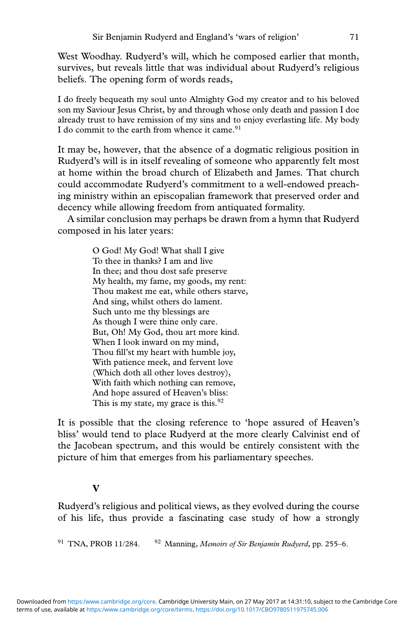West Woodhay. Rudyerd's will, which he composed earlier that month, survives, but reveals little that was individual about Rudyerd's religious beliefs. The opening form of words reads,

I do freely bequeath my soul unto Almighty God my creator and to his beloved son my Saviour Jesus Christ, by and through whose only death and passion I doe already trust to have remission of my sins and to enjoy everlasting life. My body I do commit to the earth from whence it came.<sup>91</sup>

It may be, however, that the absence of a dogmatic religious position in Rudyerd's will is in itself revealing of someone who apparently felt most at home within the broad church of Elizabeth and James. That church could accommodate Rudyerd's commitment to a well-endowed preaching ministry within an episcopalian framework that preserved order and decency while allowing freedom from antiquated formality.

A similar conclusion may perhaps be drawn from a hymn that Rudyerd composed in his later years:

> O God! My God! What shall I give To thee in thanks? I am and live In thee; and thou dost safe preserve My health, my fame, my goods, my rent: Thou makest me eat, while others starve, And sing, whilst others do lament. Such unto me thy blessings are As though I were thine only care. But, Oh! My God, thou art more kind. When I look inward on my mind, Thou fill'st my heart with humble joy, With patience meek, and fervent love (Which doth all other loves destroy), With faith which nothing can remove, And hope assured of Heaven's bliss: This is my state, my grace is this. $92$

It is possible that the closing reference to 'hope assured of Heaven's bliss' would tend to place Rudyerd at the more clearly Calvinist end of the Jacobean spectrum, and this would be entirely consistent with the picture of him that emerges from his parliamentary speeches.

# **V**

Rudyerd's religious and political views, as they evolved during the course of his life, thus provide a fascinating case study of how a strongly

<sup>91</sup> TNA, PROB 11/284. <sup>92</sup> Manning, *Memoirs of Sir Benjamin Rudyerd*, pp. 255–6.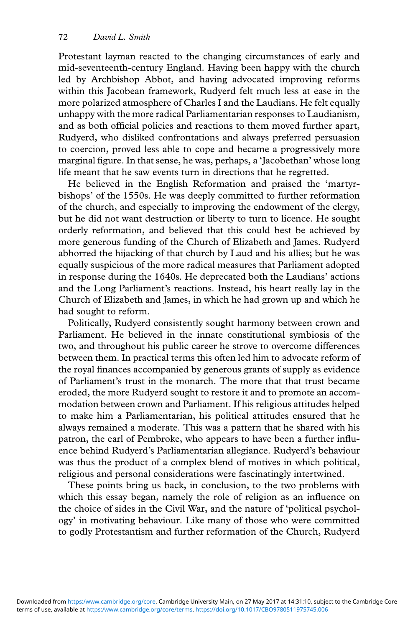Protestant layman reacted to the changing circumstances of early and mid-seventeenth-century England. Having been happy with the church led by Archbishop Abbot, and having advocated improving reforms within this Jacobean framework, Rudyerd felt much less at ease in the more polarized atmosphere of Charles I and the Laudians. He felt equally unhappy with the more radical Parliamentarian responses to Laudianism, and as both official policies and reactions to them moved further apart, Rudyerd, who disliked confrontations and always preferred persuasion to coercion, proved less able to cope and became a progressively more marginal figure. In that sense, he was, perhaps, a 'Jacobethan' whose long life meant that he saw events turn in directions that he regretted.

He believed in the English Reformation and praised the 'martyrbishops' of the 1550s. He was deeply committed to further reformation of the church, and especially to improving the endowment of the clergy, but he did not want destruction or liberty to turn to licence. He sought orderly reformation, and believed that this could best be achieved by more generous funding of the Church of Elizabeth and James. Rudyerd abhorred the hijacking of that church by Laud and his allies; but he was equally suspicious of the more radical measures that Parliament adopted in response during the 1640s. He deprecated both the Laudians' actions and the Long Parliament's reactions. Instead, his heart really lay in the Church of Elizabeth and James, in which he had grown up and which he had sought to reform.

Politically, Rudyerd consistently sought harmony between crown and Parliament. He believed in the innate constitutional symbiosis of the two, and throughout his public career he strove to overcome differences between them. In practical terms this often led him to advocate reform of the royal finances accompanied by generous grants of supply as evidence of Parliament's trust in the monarch. The more that that trust became eroded, the more Rudyerd sought to restore it and to promote an accommodation between crown and Parliament. If his religious attitudes helped to make him a Parliamentarian, his political attitudes ensured that he always remained a moderate. This was a pattern that he shared with his patron, the earl of Pembroke, who appears to have been a further influence behind Rudyerd's Parliamentarian allegiance. Rudyerd's behaviour was thus the product of a complex blend of motives in which political, religious and personal considerations were fascinatingly intertwined.

These points bring us back, in conclusion, to the two problems with which this essay began, namely the role of religion as an influence on the choice of sides in the Civil War, and the nature of 'political psychology' in motivating behaviour. Like many of those who were committed to godly Protestantism and further reformation of the Church, Rudyerd